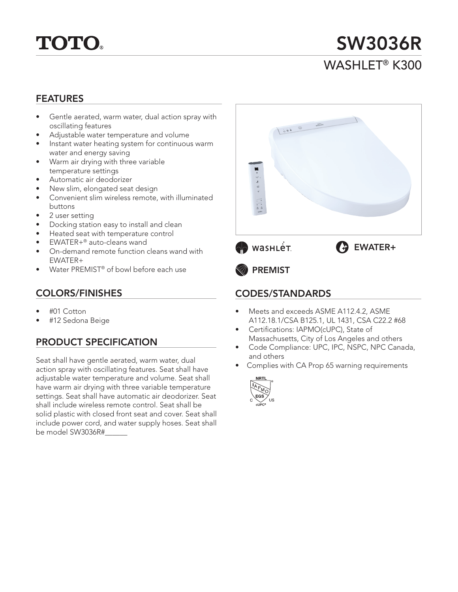

# SW3036R WASHI FT<sup>®</sup> K300

### FEATURES

- Gentle aerated, warm water, dual action spray with oscillating features
- Adjustable water temperature and volume
- Instant water heating system for continuous warm water and energy saving
- Warm air drying with three variable temperature settings
- Automatic air deodorizer
- New slim, elongated seat design
- Convenient slim wireless remote, with illuminated buttons
- 2 user setting
- Docking station easy to install and clean
- Heated seat with temperature control
- EWATER+® auto-cleans wand
- On-demand remote function cleans wand with EWATER+
- Water PREMIST® of bowl before each use

### COLORS/FINISHES

- #01 Cotton
- #12 Sedona Beige

### PRODUCT SPECIFICATION

Seat shall have gentle aerated, warm water, dual action spray with oscillating features. Seat shall have adjustable water temperature and volume. Seat shall have warm air drying with three variable temperature settings. Seat shall have automatic air deodorizer. Seat shall include wireless remote control. Seat shall be solid plastic with closed front seat and cover. Seat shall include power cord, and water supply hoses. Seat shall be model SW3036R#



# • Meets and exceeds ASME A112.4.2, ASME

- A112.18.1/CSA B125.1, UL 1431, CSA C22.2 #68 Certifications: IAPMO(cUPC), State of
- Massachusetts, City of Los Angeles and others
- Code Compliance: UPC, IPC, NSPC, NPC Canada, and others
- Complies with CA Prop 65 warning requirements